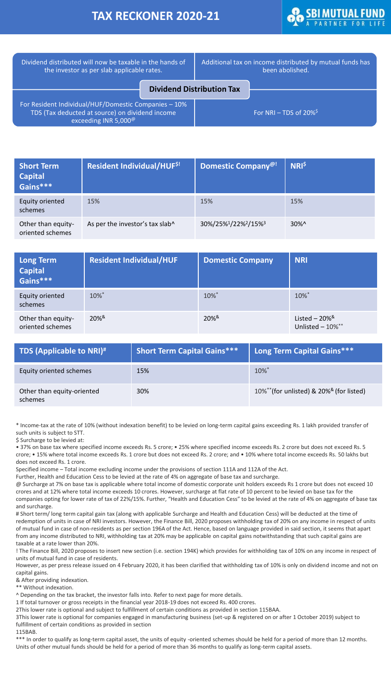## **TAX RECKONER 2020-21**



| Dividend distributed will now be taxable in the hands of<br>the investor as per slab applicable rates.                                      |                                  | Additional tax on income distributed by mutual funds has<br>been abolished. |                                       |
|---------------------------------------------------------------------------------------------------------------------------------------------|----------------------------------|-----------------------------------------------------------------------------|---------------------------------------|
|                                                                                                                                             | <b>Dividend Distribution Tax</b> |                                                                             |                                       |
| For Resident Individual/HUF/Domestic Companies - 10%<br>TDS (Tax deducted at source) on dividend income<br>exceeding INR 5,000 <sup>@</sup> |                                  |                                                                             | For NRI – TDS of $20\%$ <sup>\$</sup> |

| <b>Short Term</b><br><b>Capital</b><br>Gains*** | Resident Individual/HUF <sup>\$!</sup> | Domestic Company <sup>@!</sup>                           | <b>NRI<sup>\$</sup></b> |
|-------------------------------------------------|----------------------------------------|----------------------------------------------------------|-------------------------|
| Equity oriented<br>schemes                      | 15%                                    | 15%                                                      | 15%                     |
| Other than equity-<br>oriented schemes          | As per the investor's tax slab^        | 30%/25% <sup>1</sup> /22% <sup>2</sup> /15% <sup>3</sup> | $30\%$ ^                |

| <b>Long Term</b><br><b>Capital</b><br>Gains*** | <b>Resident Individual/HUF</b> | <b>Domestic Company</b> | <b>NRI</b>                                             |
|------------------------------------------------|--------------------------------|-------------------------|--------------------------------------------------------|
| <b>Equity oriented</b><br>schemes              | 10%*                           | 10%*                    | 10%*                                                   |
| Other than equity-<br>oriented schemes         | $20\%$ <sup>&amp;</sup>        | $20\%$ <sup>&amp;</sup> | Listed $-20\%$ <sup>&amp;</sup><br>Unlisted $-10\%$ ** |

| TDS (Applicable to NRI) <sup>#1</sup> | <b>Short Term Capital Gains***</b> | Long Term Capital Gains***                              |
|---------------------------------------|------------------------------------|---------------------------------------------------------|
| Equity oriented schemes               | 15%                                | $10\%$ <sup>*</sup>                                     |
| Other than equity-oriented<br>schemes | 30%                                | 10%**(for unlisted) & 20% <sup>&amp;</sup> (for listed) |

\* Income-tax at the rate of 10% (without indexation benefit) to be levied on long-term capital gains exceeding Rs. 1 lakh provided transfer of such units is subject to STT.

\$ Surcharge to be levied at:

• 37% on base tax where specified income exceeds Rs. 5 crore; • 25% where specified income exceeds Rs. 2 crore but does not exceed Rs. 5 crore; • 15% where total income exceeds Rs. 1 crore but does not exceed Rs. 2 crore; and • 10% where total income exceeds Rs. 50 lakhs but does not exceed Rs. 1 crore.

Specified income – Total income excluding income under the provisions of section 111A and 112A of the Act.

Further, Health and Education Cess to be levied at the rate of 4% on aggregate of base tax and surcharge.

@ Surcharge at 7% on base tax is applicable where total income of domestic corporate unit holders exceeds Rs 1 crore but does not exceed 10 crores and at 12% where total income exceeds 10 crores. However, surcharge at flat rate of 10 percent to be levied on base tax for the companies opting for lower rate of tax of 22%/15%. Further, "Health and Education Cess" to be levied at the rate of 4% on aggregate of base tax and surcharge.

# Short term/ long term capital gain tax (along with applicable Surcharge and Health and Education Cess) will be deducted at the time of redemption of units in case of NRI investors. However, the Finance Bill, 2020 proposes withholding tax of 20% on any income in respect of units of mutual fund in case of non-residents as per section 196A of the Act. Hence, based on language provided in said section, it seems that apart from any income distributed to NRI, withholding tax at 20% may be applicable on capital gains notwithstanding that such capital gains are taxable at a rate lower than 20%.

! The Finance Bill, 2020 proposes to insert new section (i.e. section 194K) which provides for withholding tax of 10% on any income in respect of units of mutual fund in case of residents.

However, as per press release issued on 4 February 2020, it has been clarified that withholding tax of 10% is only on dividend income and not on capital gains.

& After providing indexation.

\*\* Without indexation.

^ Depending on the tax bracket, the investor falls into. Refer to next page for more details.

1 If total turnover or gross receipts in the financial year 2018-19 does not exceed Rs. 400 crores.

2This lower rate is optional and subject to fulfillment of certain conditions as provided in section 115BAA.

3This lower rate is optional for companies engaged in manufacturing business (set-up & registered on or after 1 October 2019) subject to fulfillment of certain conditions as provided in section

115BAB.

\*\*\* In order to qualify as long-term capital asset, the units of equity -oriented schemes should be held for a period of more than 12 months. Units of other mutual funds should be held for a period of more than 36 months to qualify as long-term capital assets.